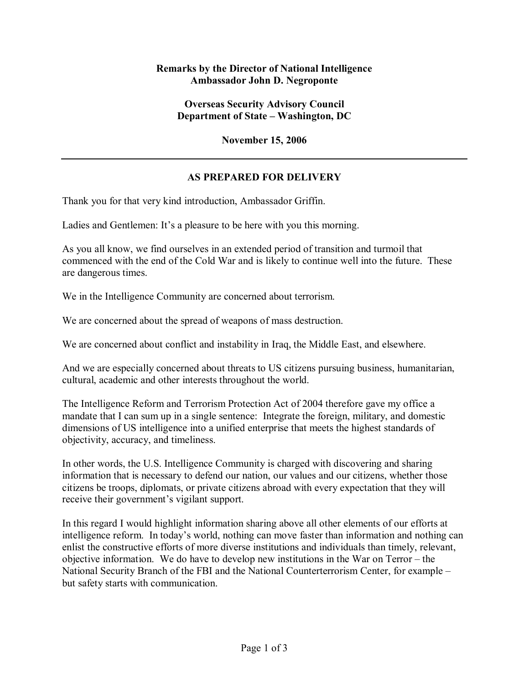## **Remarks by the Director of National Intelligence Ambassador John D. Negroponte**

## **Overseas Security Advisory Council Department of State – Washington, DC**

**November 15, 2006** 

## **AS PREPARED FOR DELIVERY**

Thank you for that very kind introduction, Ambassador Griffin.

Ladies and Gentlemen: It's a pleasure to be here with you this morning.

As you all know, we find ourselves in an extended period of transition and turmoil that commenced with the end of the Cold War and is likely to continue well into the future. These are dangerous times.

We in the Intelligence Community are concerned about terrorism.

We are concerned about the spread of weapons of mass destruction.

We are concerned about conflict and instability in Iraq, the Middle East, and elsewhere.

And we are especially concerned about threats to US citizens pursuing business, humanitarian, cultural, academic and other interests throughout the world.

The Intelligence Reform and Terrorism Protection Act of 2004 therefore gave my office a mandate that I can sum up in a single sentence: Integrate the foreign, military, and domestic dimensions of US intelligence into a unified enterprise that meets the highest standards of objectivity, accuracy, and timeliness.

In other words, the U.S. Intelligence Community is charged with discovering and sharing information that is necessary to defend our nation, our values and our citizens, whether those citizens be troops, diplomats, or private citizens abroad with every expectation that they will receive their government's vigilant support.

In this regard I would highlight information sharing above all other elements of our efforts at intelligence reform. In today's world, nothing can move faster than information and nothing can enlist the constructive efforts of more diverse institutions and individuals than timely, relevant, objective information. We do have to develop new institutions in the War on  $Terror - the$ National Security Branch of the FBI and the National Counterterrorism Center, for example – but safety starts with communication.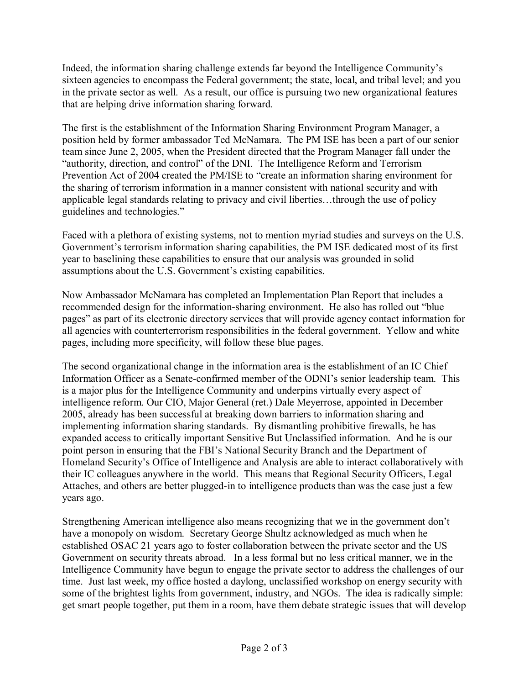Indeed, the information sharing challenge extends far beyond the Intelligence Communityís sixteen agencies to encompass the Federal government; the state, local, and tribal level; and you in the private sector as well. As a result, our office is pursuing two new organizational features that are helping drive information sharing forward.

The first is the establishment of the Information Sharing Environment Program Manager, a position held by former ambassador Ted McNamara. The PM ISE has been a part of our senior team since June 2, 2005, when the President directed that the Program Manager fall under the "authority, direction, and control" of the DNI. The Intelligence Reform and Terrorism Prevention Act of 2004 created the PM/ISE to "create an information sharing environment for the sharing of terrorism information in a manner consistent with national security and with applicable legal standards relating to privacy and civil liberties...through the use of policy guidelines and technologies."

Faced with a plethora of existing systems, not to mention myriad studies and surveys on the U.S. Government's terrorism information sharing capabilities, the PM ISE dedicated most of its first year to baselining these capabilities to ensure that our analysis was grounded in solid assumptions about the U.S. Government's existing capabilities.

Now Ambassador McNamara has completed an Implementation Plan Report that includes a recommended design for the information-sharing environment. He also has rolled out "blue" pages" as part of its electronic directory services that will provide agency contact information for all agencies with counterterrorism responsibilities in the federal government. Yellow and white pages, including more specificity, will follow these blue pages.

The second organizational change in the information area is the establishment of an IC Chief Information Officer as a Senate-confirmed member of the ODNI's senior leadership team. This is a major plus for the Intelligence Community and underpins virtually every aspect of intelligence reform. Our CIO, Major General (ret.) Dale Meyerrose, appointed in December 2005, already has been successful at breaking down barriers to information sharing and implementing information sharing standards. By dismantling prohibitive firewalls, he has expanded access to critically important Sensitive But Unclassified information. And he is our point person in ensuring that the FBI's National Security Branch and the Department of Homeland Security's Office of Intelligence and Analysis are able to interact collaboratively with their IC colleagues anywhere in the world. This means that Regional Security Officers, Legal Attaches, and others are better plugged-in to intelligence products than was the case just a few years ago.

Strengthening American intelligence also means recognizing that we in the government don't have a monopoly on wisdom. Secretary George Shultz acknowledged as much when he established OSAC 21 years ago to foster collaboration between the private sector and the US Government on security threats abroad. In a less formal but no less critical manner, we in the Intelligence Community have begun to engage the private sector to address the challenges of our time. Just last week, my office hosted a daylong, unclassified workshop on energy security with some of the brightest lights from government, industry, and NGOs. The idea is radically simple: get smart people together, put them in a room, have them debate strategic issues that will develop